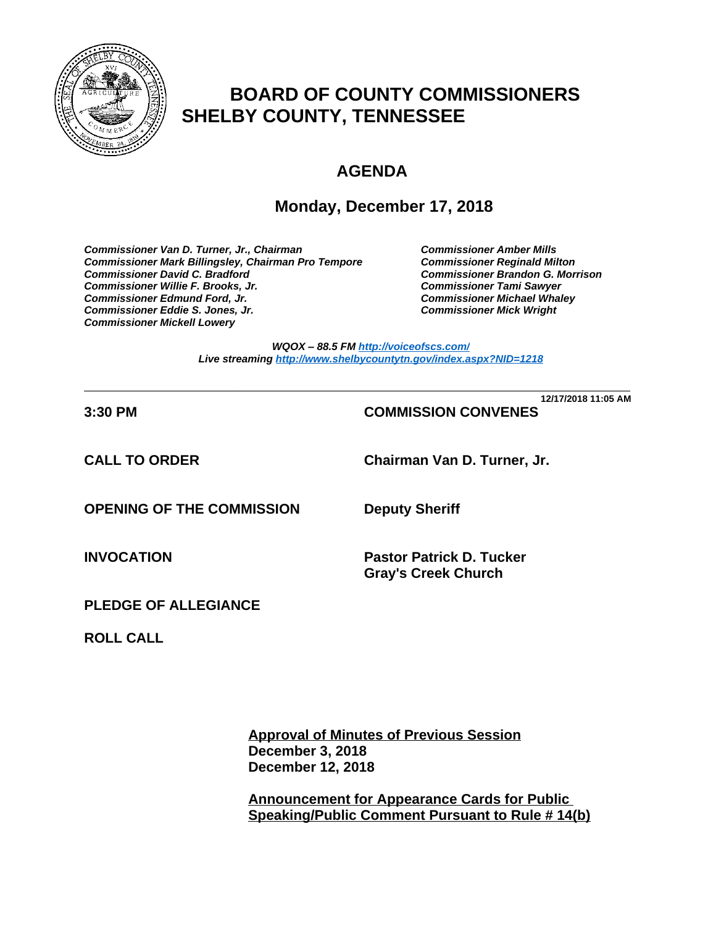

# **BOARD OF COUNTY COMMISSIONERS SHELBY COUNTY, TENNESSEE**

# **AGENDA**

## **Monday, December 17, 2018**

*Commissioner Van D. Turner, Jr., Chairman Commissioner Amber Mills*  **Commissioner Mark Billingsley, Chairman Pro Tempore** *Commissioner David C. Bradford Commissioner Brandon G. Morrison Commissioner Willie F. Brooks, Jr. Commissioner Tami Sawyer Commissioner Eddie S. Jones, Jr. Commissioner Mick Wright Commissioner Mickell Lowery*

**Commissioner Michael Whaley<br>Commissioner Mick Wright** 

*WQOX – 88.5 FM <http://voiceofscs.com/> Live streaming <http://www.shelbycountytn.gov/index.aspx?NID=1218>*

**\_\_\_\_\_\_\_\_\_\_\_\_\_\_\_\_\_\_\_\_\_\_\_\_\_\_\_\_\_\_\_\_\_\_\_\_\_\_\_\_\_\_\_\_\_\_\_\_\_\_\_\_\_\_\_\_\_\_\_\_\_\_\_\_\_\_\_\_\_\_ 12/17/2018 11:05 AM**

## **3:30 PM COMMISSION CONVENES**

**CALL TO ORDER Chairman Van D. Turner, Jr.**

**OPENING OF THE COMMISSION Deputy Sheriff**

**INVOCATION Pastor Patrick D. Tucker Gray's Creek Church**

**PLEDGE OF ALLEGIANCE**

**ROLL CALL**

**Approval of Minutes of Previous Session December 3, 2018 December 12, 2018** 

**Announcement for Appearance Cards for Public Speaking/Public Comment Pursuant to Rule # 14(b)**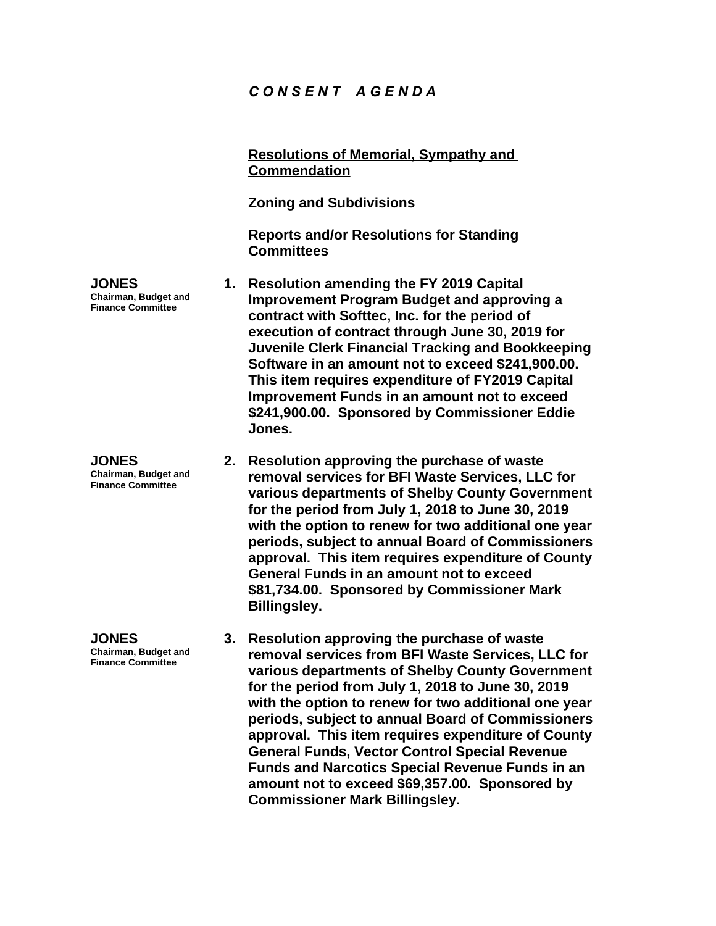## *C O N S E N T A G E N D A*

**Resolutions of Memorial, Sympathy and Commendation Zoning and Subdivisions Reports and/or Resolutions for Standing Committees JONES Chairman, Budget and Finance Committee 1. Resolution amending the FY 2019 Capital Improvement Program Budget and approving a contract with Softtec, Inc. for the period of execution of contract through June 30, 2019 for Juvenile Clerk Financial Tracking and Bookkeeping Software in an amount not to exceed \$241,900.00. This item requires expenditure of FY2019 Capital Improvement Funds in an amount not to exceed \$241,900.00. Sponsored by Commissioner Eddie Jones. JONES Chairman, Budget and Finance Committee 2. Resolution approving the purchase of waste removal services for BFI Waste Services, LLC for for the period from July 1, 2018 to June 30, 2019** 

**various departments of Shelby County Government with the option to renew for two additional one year periods, subject to annual Board of Commissioners approval. This item requires expenditure of County General Funds in an amount not to exceed \$81,734.00. Sponsored by Commissioner Mark Billingsley.**

**JONES**

**Chairman, Budget and Finance Committee**

**3. Resolution approving the purchase of waste removal services from BFI Waste Services, LLC for various departments of Shelby County Government for the period from July 1, 2018 to June 30, 2019 with the option to renew for two additional one year periods, subject to annual Board of Commissioners approval. This item requires expenditure of County General Funds, Vector Control Special Revenue Funds and Narcotics Special Revenue Funds in an amount not to exceed \$69,357.00. Sponsored by Commissioner Mark Billingsley.**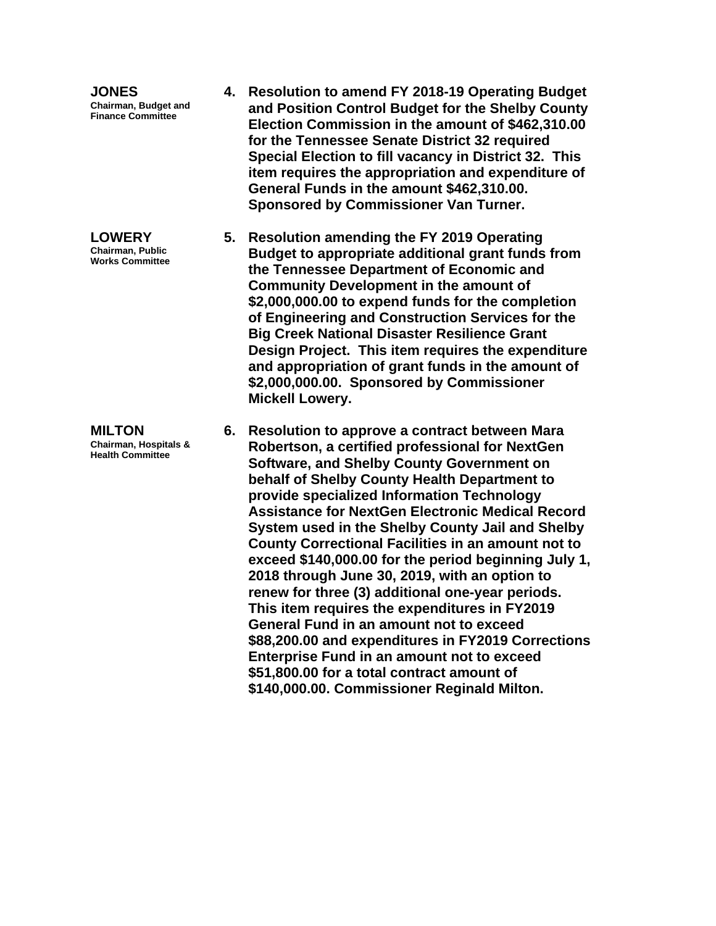**JONES Chairman, Budget and Finance Committee**

**LOWERY Chairman, Public Works Committee**

**MILTON Chairman, Hospitals & Health Committee**

- **4. Resolution to amend FY 2018-19 Operating Budget and Position Control Budget for the Shelby County Election Commission in the amount of \$462,310.00 for the Tennessee Senate District 32 required Special Election to fill vacancy in District 32. This item requires the appropriation and expenditure of General Funds in the amount \$462,310.00. Sponsored by Commissioner Van Turner.**
- **5. Resolution amending the FY 2019 Operating Budget to appropriate additional grant funds from the Tennessee Department of Economic and Community Development in the amount of \$2,000,000.00 to expend funds for the completion of Engineering and Construction Services for the Big Creek National Disaster Resilience Grant Design Project. This item requires the expenditure and appropriation of grant funds in the amount of \$2,000,000.00. Sponsored by Commissioner Mickell Lowery.**
- **6. Resolution to approve a contract between Mara Robertson, a certified professional for NextGen Software, and Shelby County Government on behalf of Shelby County Health Department to provide specialized Information Technology Assistance for NextGen Electronic Medical Record System used in the Shelby County Jail and Shelby County Correctional Facilities in an amount not to exceed \$140,000.00 for the period beginning July 1, 2018 through June 30, 2019, with an option to renew for three (3) additional one-year periods. This item requires the expenditures in FY2019 General Fund in an amount not to exceed \$88,200.00 and expenditures in FY2019 Corrections Enterprise Fund in an amount not to exceed \$51,800.00 for a total contract amount of \$140,000.00. Commissioner Reginald Milton.**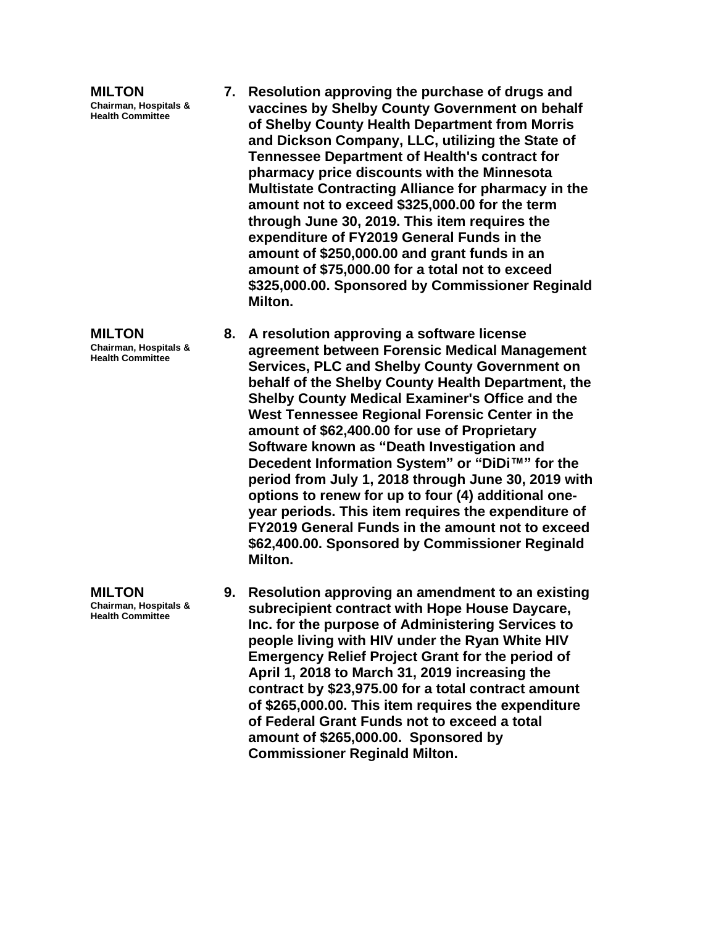**MILTON Chairman, Hospitals & Health Committee**

- **7. Resolution approving the purchase of drugs and vaccines by Shelby County Government on behalf of Shelby County Health Department from Morris and Dickson Company, LLC, utilizing the State of Tennessee Department of Health's contract for pharmacy price discounts with the Minnesota Multistate Contracting Alliance for pharmacy in the amount not to exceed \$325,000.00 for the term through June 30, 2019. This item requires the expenditure of FY2019 General Funds in the amount of \$250,000.00 and grant funds in an amount of \$75,000.00 for a total not to exceed \$325,000.00. Sponsored by Commissioner Reginald Milton.**
- **8. A resolution approving a software license agreement between Forensic Medical Management Services, PLC and Shelby County Government on behalf of the Shelby County Health Department, the Shelby County Medical Examiner's Office and the West Tennessee Regional Forensic Center in the amount of \$62,400.00 for use of Proprietary Software known as "Death Investigation and Decedent Information System" or "DiDi™" for the period from July 1, 2018 through June 30, 2019 with options to renew for up to four (4) additional oneyear periods. This item requires the expenditure of FY2019 General Funds in the amount not to exceed \$62,400.00. Sponsored by Commissioner Reginald Milton.**
- **9. Resolution approving an amendment to an existing subrecipient contract with Hope House Daycare, Inc. for the purpose of Administering Services to people living with HIV under the Ryan White HIV Emergency Relief Project Grant for the period of April 1, 2018 to March 31, 2019 increasing the contract by \$23,975.00 for a total contract amount of \$265,000.00. This item requires the expenditure of Federal Grant Funds not to exceed a total amount of \$265,000.00. Sponsored by Commissioner Reginald Milton.**

**Chairman, Hospitals & Health Committee**

**MILTON**

**MILTON Chairman, Hospitals & Health Committee**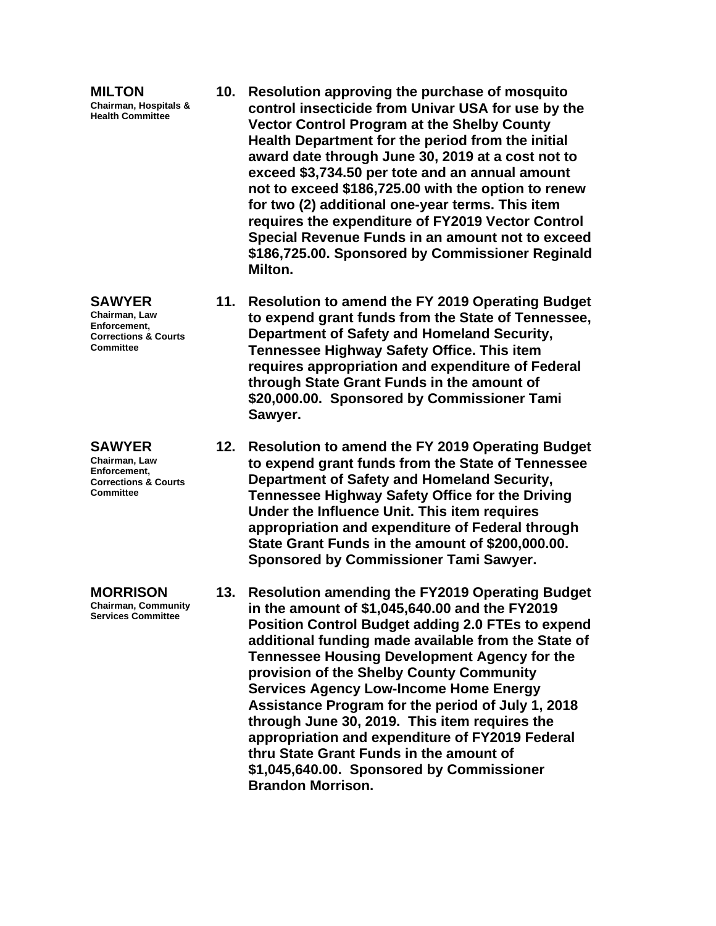**MILTON Chairman, Hospitals & Health Committee**

**SAWYER Chairman, Law Enforcement, Corrections & Courts Committee**

**SAWYER Chairman, Law Enforcement, Corrections & Courts Committee**

**MORRISON Chairman, Community Services Committee**

- **10. Resolution approving the purchase of mosquito control insecticide from Univar USA for use by the Vector Control Program at the Shelby County Health Department for the period from the initial award date through June 30, 2019 at a cost not to exceed \$3,734.50 per tote and an annual amount not to exceed \$186,725.00 with the option to renew for two (2) additional one-year terms. This item requires the expenditure of FY2019 Vector Control Special Revenue Funds in an amount not to exceed \$186,725.00. Sponsored by Commissioner Reginald Milton.**
- **11. Resolution to amend the FY 2019 Operating Budget to expend grant funds from the State of Tennessee, Department of Safety and Homeland Security, Tennessee Highway Safety Office. This item requires appropriation and expenditure of Federal through State Grant Funds in the amount of \$20,000.00. Sponsored by Commissioner Tami Sawyer.**
- **12. Resolution to amend the FY 2019 Operating Budget to expend grant funds from the State of Tennessee Department of Safety and Homeland Security, Tennessee Highway Safety Office for the Driving Under the Influence Unit. This item requires appropriation and expenditure of Federal through State Grant Funds in the amount of \$200,000.00. Sponsored by Commissioner Tami Sawyer.**
- **13. Resolution amending the FY2019 Operating Budget in the amount of \$1,045,640.00 and the FY2019 Position Control Budget adding 2.0 FTEs to expend additional funding made available from the State of Tennessee Housing Development Agency for the provision of the Shelby County Community Services Agency Low-Income Home Energy Assistance Program for the period of July 1, 2018 through June 30, 2019. This item requires the appropriation and expenditure of FY2019 Federal thru State Grant Funds in the amount of \$1,045,640.00. Sponsored by Commissioner Brandon Morrison.**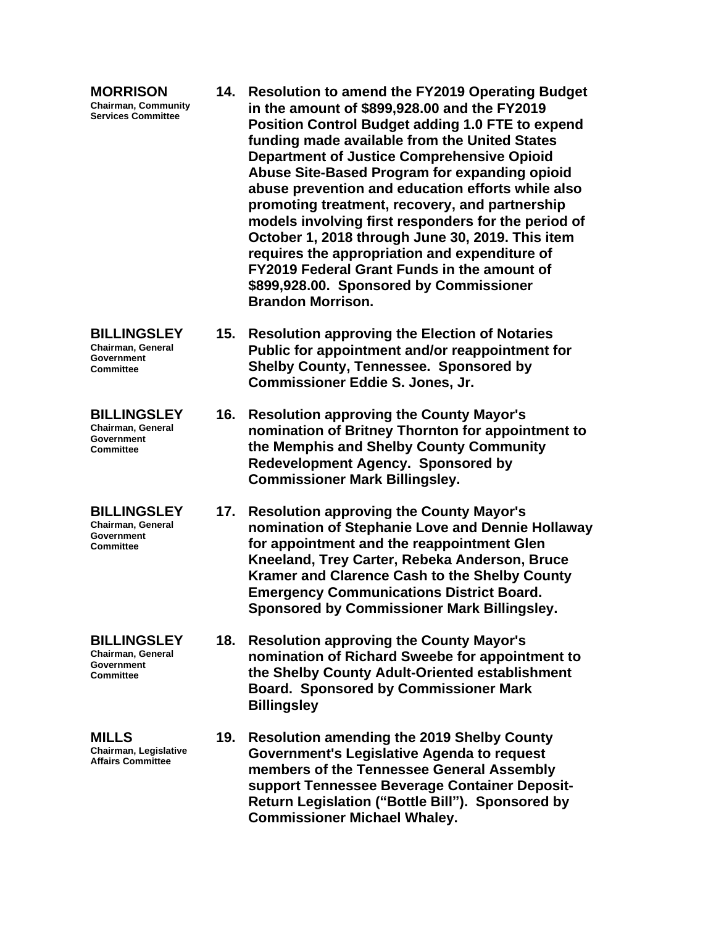| <b>MORRISON</b><br><b>Chairman, Community</b><br><b>Services Committee</b>       |     | 14. Resolution to amend the FY2019 Operating Budget<br>in the amount of \$899,928.00 and the FY2019<br><b>Position Control Budget adding 1.0 FTE to expend</b><br>funding made available from the United States<br><b>Department of Justice Comprehensive Opioid</b><br>Abuse Site-Based Program for expanding opioid<br>abuse prevention and education efforts while also<br>promoting treatment, recovery, and partnership<br>models involving first responders for the period of<br>October 1, 2018 through June 30, 2019. This item<br>requires the appropriation and expenditure of<br>FY2019 Federal Grant Funds in the amount of<br>\$899,928.00. Sponsored by Commissioner<br><b>Brandon Morrison.</b> |
|----------------------------------------------------------------------------------|-----|----------------------------------------------------------------------------------------------------------------------------------------------------------------------------------------------------------------------------------------------------------------------------------------------------------------------------------------------------------------------------------------------------------------------------------------------------------------------------------------------------------------------------------------------------------------------------------------------------------------------------------------------------------------------------------------------------------------|
| <b>BILLINGSLEY</b><br>Chairman, General<br><b>Government</b><br><b>Committee</b> | 15. | <b>Resolution approving the Election of Notaries</b><br>Public for appointment and/or reappointment for<br><b>Shelby County, Tennessee. Sponsored by</b><br><b>Commissioner Eddie S. Jones, Jr.</b>                                                                                                                                                                                                                                                                                                                                                                                                                                                                                                            |
| <b>BILLINGSLEY</b><br>Chairman, General<br><b>Government</b><br><b>Committee</b> | 16. | <b>Resolution approving the County Mayor's</b><br>nomination of Britney Thornton for appointment to<br>the Memphis and Shelby County Community<br><b>Redevelopment Agency. Sponsored by</b><br><b>Commissioner Mark Billingsley.</b>                                                                                                                                                                                                                                                                                                                                                                                                                                                                           |
| <b>BILLINGSLEY</b><br>Chairman, General<br>Government<br><b>Committee</b>        | 17. | <b>Resolution approving the County Mayor's</b><br>nomination of Stephanie Love and Dennie Hollaway<br>for appointment and the reappointment Glen<br>Kneeland, Trey Carter, Rebeka Anderson, Bruce<br>Kramer and Clarence Cash to the Shelby County<br><b>Emergency Communications District Board.</b><br>Sponsored by Commissioner Mark Billingsley.                                                                                                                                                                                                                                                                                                                                                           |
| <b>BILLINGSLEY</b><br>Chairman, General<br><b>Government</b><br><b>Committee</b> | 18. | <b>Resolution approving the County Mayor's</b><br>nomination of Richard Sweebe for appointment to<br>the Shelby County Adult-Oriented establishment<br><b>Board. Sponsored by Commissioner Mark</b><br><b>Billingsley</b>                                                                                                                                                                                                                                                                                                                                                                                                                                                                                      |
| <b>MILLS</b><br>Chairman, Legislative<br><b>Affairs Committee</b>                | 19. | <b>Resolution amending the 2019 Shelby County</b><br>Government's Legislative Agenda to request<br>members of the Tennessee General Assembly<br>support Tennessee Beverage Container Deposit-<br>Return Legislation ("Bottle Bill"). Sponsored by<br><b>Commissioner Michael Whaley.</b>                                                                                                                                                                                                                                                                                                                                                                                                                       |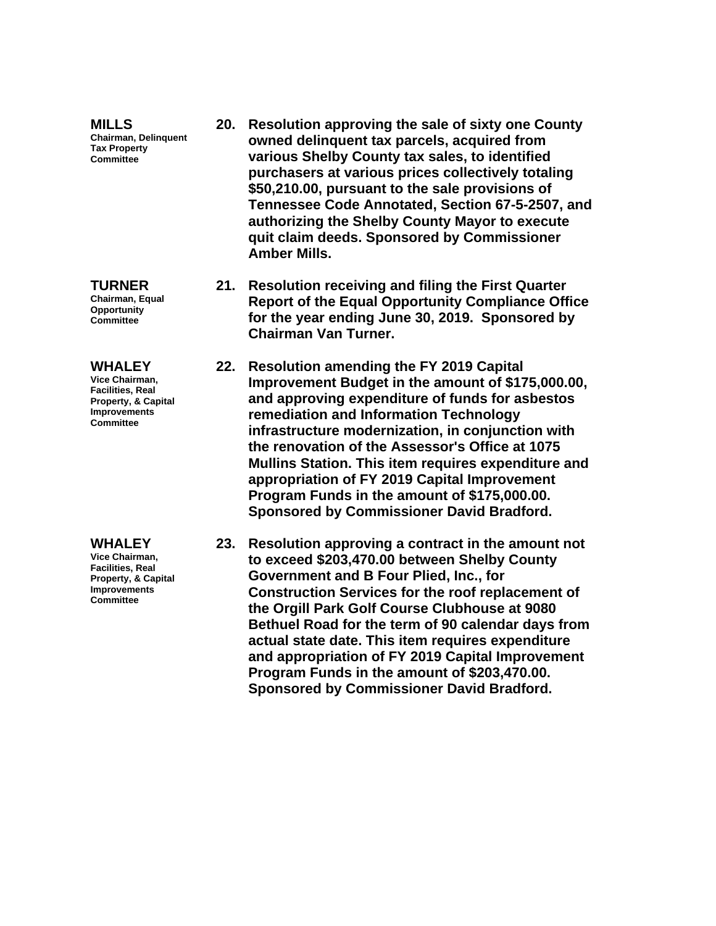**MILLS Chairman, Delinquent Tax Property Committee**

#### **TURNER Chairman, Equal Opportunity Committee**

### **WHALEY**

**Vice Chairman, Facilities, Real Property, & Capital Improvements Committee**

#### **WHALEY**

**Vice Chairman, Facilities, Real Property, & Capital Improvements Committee**

- **20. Resolution approving the sale of sixty one County owned delinquent tax parcels, acquired from various Shelby County tax sales, to identified purchasers at various prices collectively totaling \$50,210.00, pursuant to the sale provisions of Tennessee Code Annotated, Section 67-5-2507, and authorizing the Shelby County Mayor to execute quit claim deeds. Sponsored by Commissioner Amber Mills.**
- **21. Resolution receiving and filing the First Quarter Report of the Equal Opportunity Compliance Office for the year ending June 30, 2019. Sponsored by Chairman Van Turner.**
- **22. Resolution amending the FY 2019 Capital Improvement Budget in the amount of \$175,000.00, and approving expenditure of funds for asbestos remediation and Information Technology infrastructure modernization, in conjunction with the renovation of the Assessor's Office at 1075 Mullins Station. This item requires expenditure and appropriation of FY 2019 Capital Improvement Program Funds in the amount of \$175,000.00. Sponsored by Commissioner David Bradford.**
- **23. Resolution approving a contract in the amount not to exceed \$203,470.00 between Shelby County Government and B Four Plied, Inc., for Construction Services for the roof replacement of the Orgill Park Golf Course Clubhouse at 9080 Bethuel Road for the term of 90 calendar days from actual state date. This item requires expenditure and appropriation of FY 2019 Capital Improvement Program Funds in the amount of \$203,470.00. Sponsored by Commissioner David Bradford.**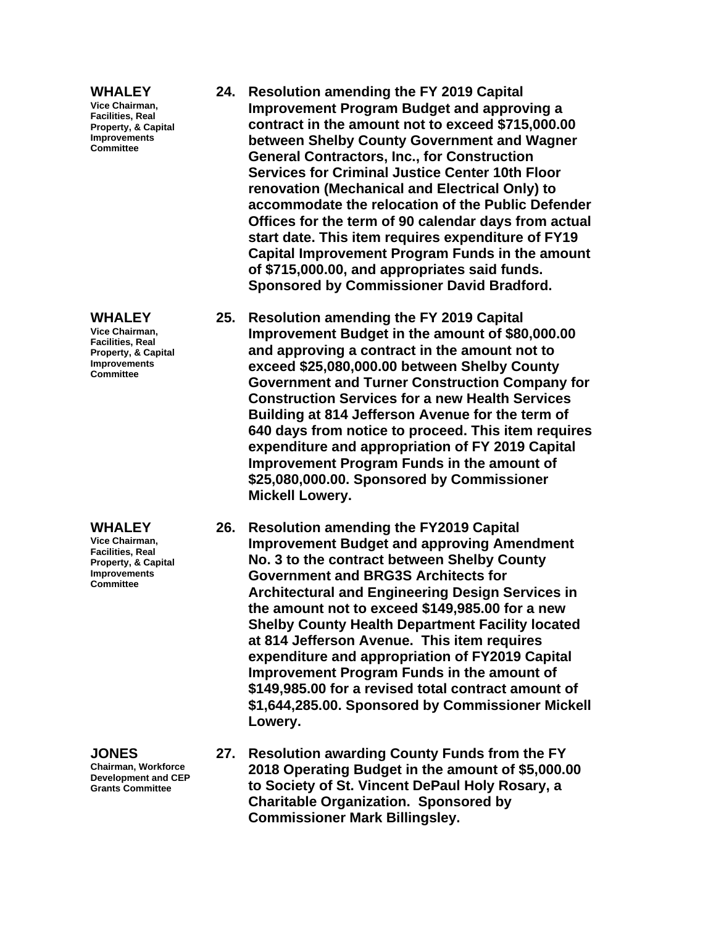#### **WHALEY**

**Vice Chairman, Facilities, Real Property, & Capital Improvements Committee**

#### **WHALEY**

**Vice Chairman, Facilities, Real Property, & Capital Improvements Committee**

#### **WHALEY**

**Vice Chairman, Facilities, Real Property, & Capital Improvements Committee**

**JONES Chairman, Workforce Development and CEP Grants Committee**

- **24. Resolution amending the FY 2019 Capital Improvement Program Budget and approving a contract in the amount not to exceed \$715,000.00 between Shelby County Government and Wagner General Contractors, Inc., for Construction Services for Criminal Justice Center 10th Floor renovation (Mechanical and Electrical Only) to accommodate the relocation of the Public Defender Offices for the term of 90 calendar days from actual start date. This item requires expenditure of FY19 Capital Improvement Program Funds in the amount of \$715,000.00, and appropriates said funds. Sponsored by Commissioner David Bradford.**
- **25. Resolution amending the FY 2019 Capital Improvement Budget in the amount of \$80,000.00 and approving a contract in the amount not to exceed \$25,080,000.00 between Shelby County Government and Turner Construction Company for Construction Services for a new Health Services Building at 814 Jefferson Avenue for the term of 640 days from notice to proceed. This item requires expenditure and appropriation of FY 2019 Capital Improvement Program Funds in the amount of \$25,080,000.00. Sponsored by Commissioner Mickell Lowery.**
- **26. Resolution amending the FY2019 Capital Improvement Budget and approving Amendment No. 3 to the contract between Shelby County Government and BRG3S Architects for Architectural and Engineering Design Services in the amount not to exceed \$149,985.00 for a new Shelby County Health Department Facility located at 814 Jefferson Avenue. This item requires expenditure and appropriation of FY2019 Capital Improvement Program Funds in the amount of \$149,985.00 for a revised total contract amount of \$1,644,285.00. Sponsored by Commissioner Mickell Lowery.**
- **27. Resolution awarding County Funds from the FY 2018 Operating Budget in the amount of \$5,000.00 to Society of St. Vincent DePaul Holy Rosary, a Charitable Organization. Sponsored by Commissioner Mark Billingsley.**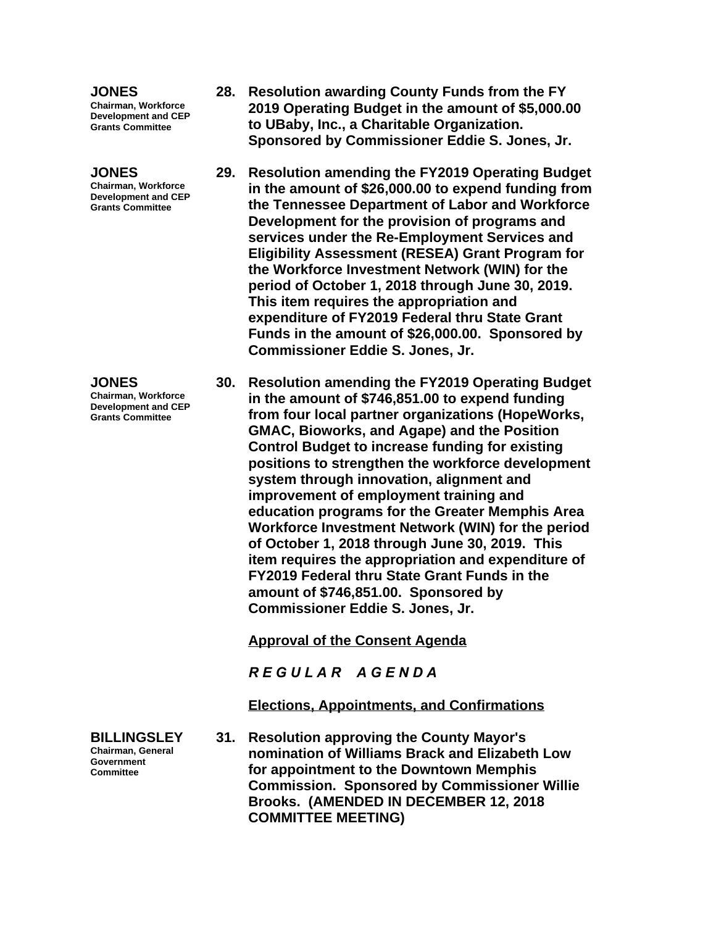### **JONES**

**Chairman, Workforce Development and CEP Grants Committee**

## **JONES**

**Chairman, Workforce Development and CEP Grants Committee**

#### **JONES Chairman, Workforce Development and CEP Grants Committee**

**BILLINGSLEY Chairman, General Government Committee**

- **28. Resolution awarding County Funds from the FY 2019 Operating Budget in the amount of \$5,000.00 to UBaby, Inc., a Charitable Organization. Sponsored by Commissioner Eddie S. Jones, Jr.**
- **29. Resolution amending the FY2019 Operating Budget in the amount of \$26,000.00 to expend funding from the Tennessee Department of Labor and Workforce Development for the provision of programs and services under the Re-Employment Services and Eligibility Assessment (RESEA) Grant Program for the Workforce Investment Network (WIN) for the period of October 1, 2018 through June 30, 2019. This item requires the appropriation and expenditure of FY2019 Federal thru State Grant Funds in the amount of \$26,000.00. Sponsored by Commissioner Eddie S. Jones, Jr.**
- **30. Resolution amending the FY2019 Operating Budget in the amount of \$746,851.00 to expend funding from four local partner organizations (HopeWorks, GMAC, Bioworks, and Agape) and the Position Control Budget to increase funding for existing positions to strengthen the workforce development system through innovation, alignment and improvement of employment training and education programs for the Greater Memphis Area Workforce Investment Network (WIN) for the period of October 1, 2018 through June 30, 2019. This item requires the appropriation and expenditure of FY2019 Federal thru State Grant Funds in the amount of \$746,851.00. Sponsored by Commissioner Eddie S. Jones, Jr.**

**Approval of the Consent Agenda**

*R E G U L A R A G E N D A*

**Elections, Appointments, and Confirmations**

**31. Resolution approving the County Mayor's nomination of Williams Brack and Elizabeth Low for appointment to the Downtown Memphis Commission. Sponsored by Commissioner Willie Brooks. (AMENDED IN DECEMBER 12, 2018 COMMITTEE MEETING)**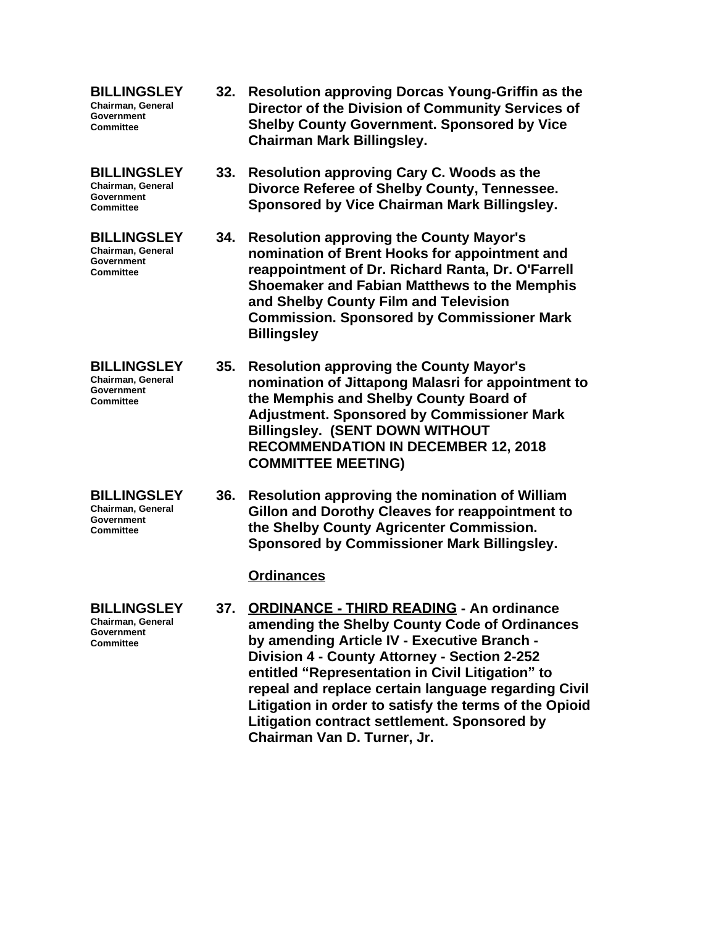**BILLINGSLEY Chairman, General Government Committee**

**BILLINGSLEY Chairman, General Government Committee**

**BILLINGSLEY Chairman, General Government Committee**

**BILLINGSLEY Chairman, General Government Committee**

**BILLINGSLEY Chairman, General Government Committee**

**BILLINGSLEY Chairman, General Government Committee**

- **32. Resolution approving Dorcas Young-Griffin as the Director of the Division of Community Services of Shelby County Government. Sponsored by Vice Chairman Mark Billingsley.**
- **33. Resolution approving Cary C. Woods as the Divorce Referee of Shelby County, Tennessee. Sponsored by Vice Chairman Mark Billingsley.**
- **34. Resolution approving the County Mayor's nomination of Brent Hooks for appointment and reappointment of Dr. Richard Ranta, Dr. O'Farrell Shoemaker and Fabian Matthews to the Memphis and Shelby County Film and Television Commission. Sponsored by Commissioner Mark Billingsley**
- **35. Resolution approving the County Mayor's nomination of Jittapong Malasri for appointment to the Memphis and Shelby County Board of Adjustment. Sponsored by Commissioner Mark Billingsley. (SENT DOWN WITHOUT RECOMMENDATION IN DECEMBER 12, 2018 COMMITTEE MEETING)**
	- **36. Resolution approving the nomination of William Gillon and Dorothy Cleaves for reappointment to the Shelby County Agricenter Commission. Sponsored by Commissioner Mark Billingsley.**

## **Ordinances**

**37. ORDINANCE - THIRD READING - An ordinance amending the Shelby County Code of Ordinances by amending Article IV - Executive Branch - Division 4 - County Attorney - Section 2-252 entitled "Representation in Civil Litigation" to repeal and replace certain language regarding Civil Litigation in order to satisfy the terms of the Opioid Litigation contract settlement. Sponsored by Chairman Van D. Turner, Jr.**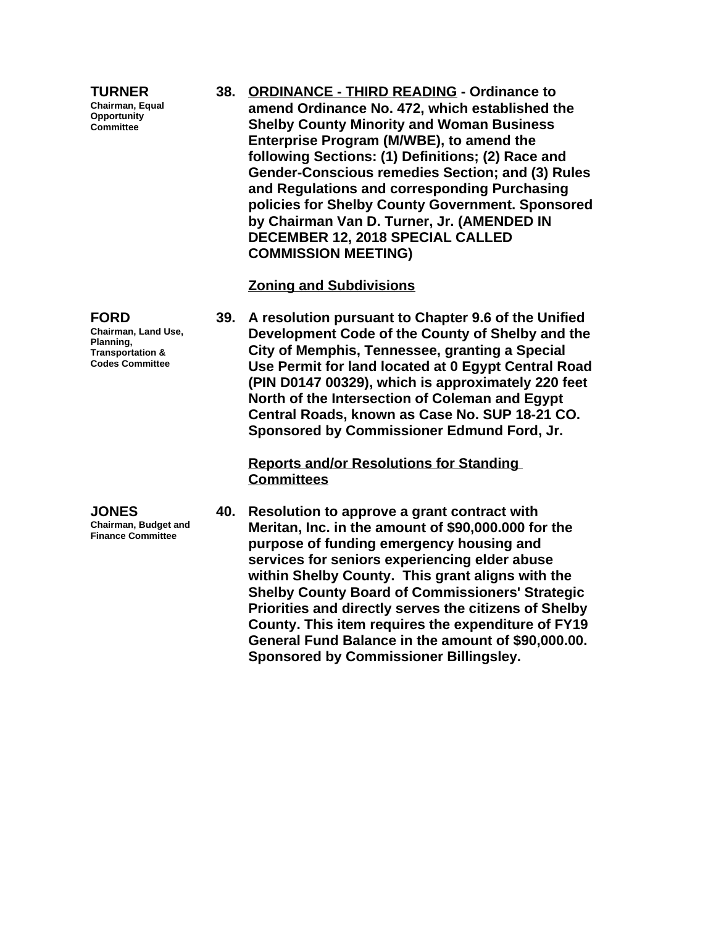**TURNER Chairman, Equal Opportunity Committee**

**FORD**

**Chairman, Land Use, Planning, Transportation & Codes Committee**

**JONES Chairman, Budget and Finance Committee**

**38. ORDINANCE - THIRD READING - Ordinance to amend Ordinance No. 472, which established the Shelby County Minority and Woman Business Enterprise Program (M/WBE), to amend the following Sections: (1) Definitions; (2) Race and Gender-Conscious remedies Section; and (3) Rules and Regulations and corresponding Purchasing policies for Shelby County Government. Sponsored by Chairman Van D. Turner, Jr. (AMENDED IN DECEMBER 12, 2018 SPECIAL CALLED COMMISSION MEETING)**

## **Zoning and Subdivisions**

**39. A resolution pursuant to Chapter 9.6 of the Unified Development Code of the County of Shelby and the City of Memphis, Tennessee, granting a Special Use Permit for land located at 0 Egypt Central Road (PIN D0147 00329), which is approximately 220 feet North of the Intersection of Coleman and Egypt Central Roads, known as Case No. SUP 18-21 CO. Sponsored by Commissioner Edmund Ford, Jr.**

**Reports and/or Resolutions for Standing Committees**

**40. Resolution to approve a grant contract with Meritan, Inc. in the amount of \$90,000.000 for the purpose of funding emergency housing and services for seniors experiencing elder abuse within Shelby County. This grant aligns with the Shelby County Board of Commissioners' Strategic Priorities and directly serves the citizens of Shelby County. This item requires the expenditure of FY19 General Fund Balance in the amount of \$90,000.00. Sponsored by Commissioner Billingsley.**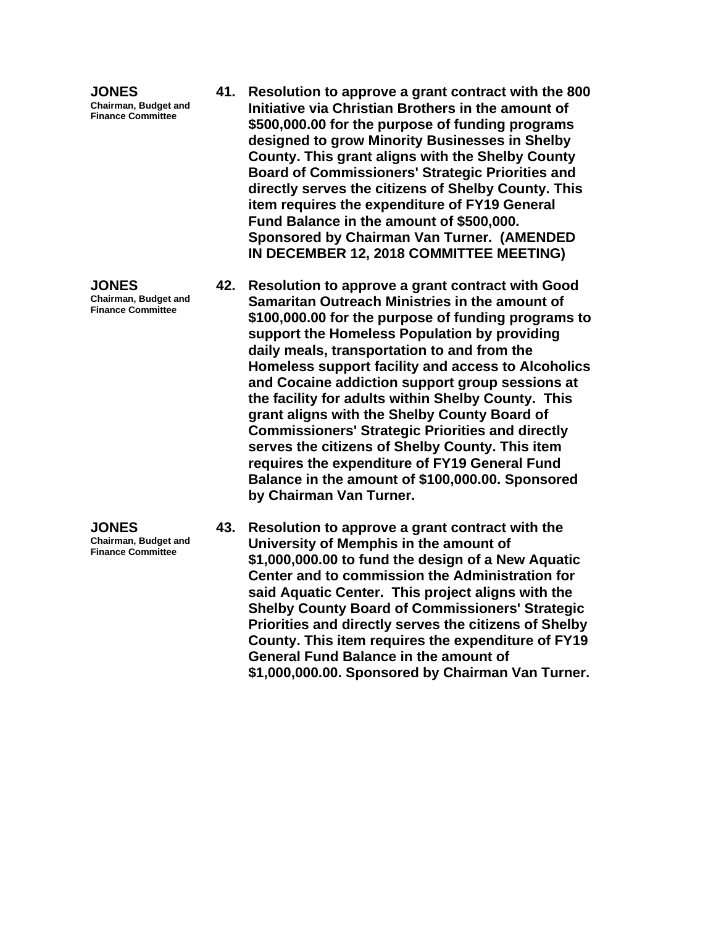**JONES Chairman, Budget and Finance Committee**

**JONES Chairman, Budget and Finance Committee**

**JONES Chairman, Budget and Finance Committee**

- **41. Resolution to approve a grant contract with the 800 Initiative via Christian Brothers in the amount of \$500,000.00 for the purpose of funding programs designed to grow Minority Businesses in Shelby County. This grant aligns with the Shelby County Board of Commissioners' Strategic Priorities and directly serves the citizens of Shelby County. This item requires the expenditure of FY19 General Fund Balance in the amount of \$500,000. Sponsored by Chairman Van Turner. (AMENDED IN DECEMBER 12, 2018 COMMITTEE MEETING)**
- **42. Resolution to approve a grant contract with Good Samaritan Outreach Ministries in the amount of \$100,000.00 for the purpose of funding programs to support the Homeless Population by providing daily meals, transportation to and from the Homeless support facility and access to Alcoholics and Cocaine addiction support group sessions at the facility for adults within Shelby County. This grant aligns with the Shelby County Board of Commissioners' Strategic Priorities and directly serves the citizens of Shelby County. This item requires the expenditure of FY19 General Fund Balance in the amount of \$100,000.00. Sponsored by Chairman Van Turner.**

**43. Resolution to approve a grant contract with the University of Memphis in the amount of \$1,000,000.00 to fund the design of a New Aquatic Center and to commission the Administration for said Aquatic Center. This project aligns with the Shelby County Board of Commissioners' Strategic Priorities and directly serves the citizens of Shelby County. This item requires the expenditure of FY19 General Fund Balance in the amount of \$1,000,000.00. Sponsored by Chairman Van Turner.**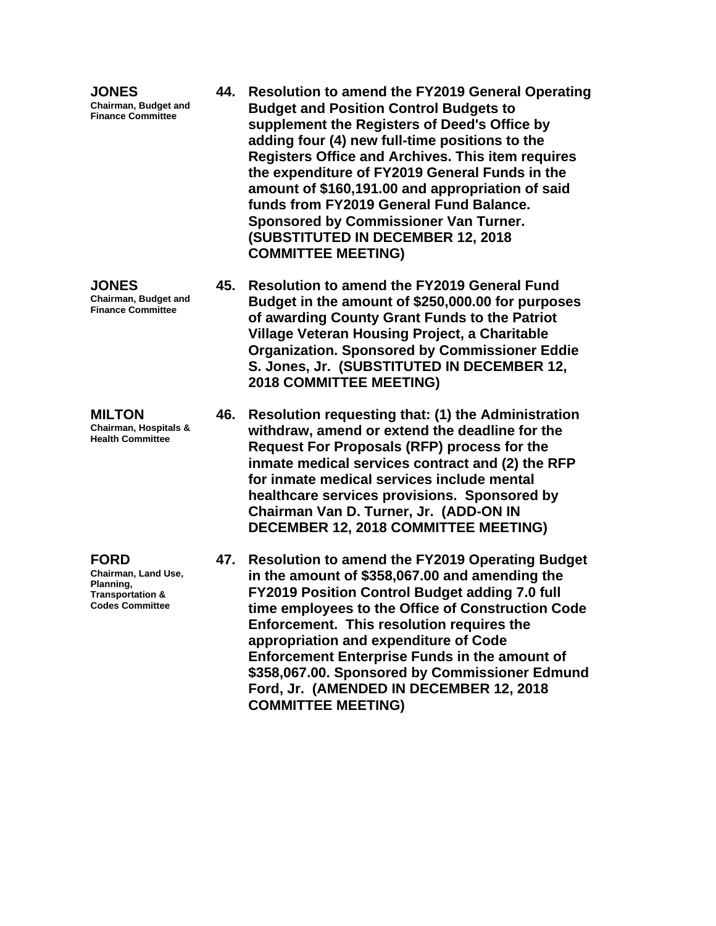**JONES Chairman, Budget and Finance Committee**

**JONES Chairman, Budget and Finance Committee**

**MILTON Chairman, Hospitals & Health Committee**

**FORD**

**Chairman, Land Use, Planning, Transportation & Codes Committee**

- **44. Resolution to amend the FY2019 General Operating Budget and Position Control Budgets to supplement the Registers of Deed's Office by adding four (4) new full-time positions to the Registers Office and Archives. This item requires the expenditure of FY2019 General Funds in the amount of \$160,191.00 and appropriation of said funds from FY2019 General Fund Balance. Sponsored by Commissioner Van Turner. (SUBSTITUTED IN DECEMBER 12, 2018 COMMITTEE MEETING)**
	- **45. Resolution to amend the FY2019 General Fund Budget in the amount of \$250,000.00 for purposes of awarding County Grant Funds to the Patriot Village Veteran Housing Project, a Charitable Organization. Sponsored by Commissioner Eddie S. Jones, Jr. (SUBSTITUTED IN DECEMBER 12, 2018 COMMITTEE MEETING)**
	- **46. Resolution requesting that: (1) the Administration withdraw, amend or extend the deadline for the Request For Proposals (RFP) process for the inmate medical services contract and (2) the RFP for inmate medical services include mental healthcare services provisions. Sponsored by Chairman Van D. Turner, Jr. (ADD-ON IN DECEMBER 12, 2018 COMMITTEE MEETING)**
	- **47. Resolution to amend the FY2019 Operating Budget in the amount of \$358,067.00 and amending the FY2019 Position Control Budget adding 7.0 full time employees to the Office of Construction Code Enforcement. This resolution requires the appropriation and expenditure of Code Enforcement Enterprise Funds in the amount of \$358,067.00. Sponsored by Commissioner Edmund Ford, Jr. (AMENDED IN DECEMBER 12, 2018 COMMITTEE MEETING)**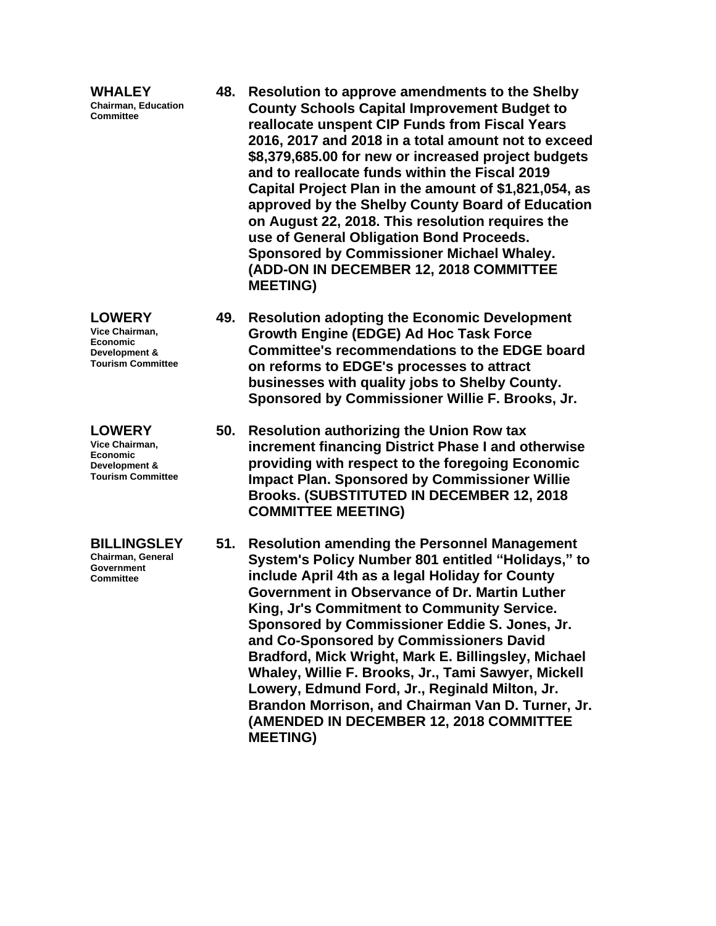**WHALEY Chairman, Education Committee 48. Resolution to approve amendments to the Shelby County Schools Capital Improvement Budget to reallocate unspent CIP Funds from Fiscal Years 2016, 2017 and 2018 in a total amount not to exceed \$8,379,685.00 for new or increased project budgets and to reallocate funds within the Fiscal 2019 Capital Project Plan in the amount of \$1,821,054, as approved by the Shelby County Board of Education on August 22, 2018. This resolution requires the use of General Obligation Bond Proceeds. Sponsored by Commissioner Michael Whaley. (ADD-ON IN DECEMBER 12, 2018 COMMITTEE MEETING) LOWERY Vice Chairman, Economic Development & 49. Resolution adopting the Economic Development Growth Engine (EDGE) Ad Hoc Task Force** 

**Committee's recommendations to the EDGE board on reforms to EDGE's processes to attract businesses with quality jobs to Shelby County. Sponsored by Commissioner Willie F. Brooks, Jr.**

**50. Resolution authorizing the Union Row tax increment financing District Phase I and otherwise providing with respect to the foregoing Economic Impact Plan. Sponsored by Commissioner Willie Brooks. (SUBSTITUTED IN DECEMBER 12, 2018 COMMITTEE MEETING)**

**51. Resolution amending the Personnel Management System's Policy Number 801 entitled "Holidays," to include April 4th as a legal Holiday for County Government in Observance of Dr. Martin Luther King, Jr's Commitment to Community Service. Sponsored by Commissioner Eddie S. Jones, Jr. and Co-Sponsored by Commissioners David Bradford, Mick Wright, Mark E. Billingsley, Michael Whaley, Willie F. Brooks, Jr., Tami Sawyer, Mickell Lowery, Edmund Ford, Jr., Reginald Milton, Jr. Brandon Morrison, and Chairman Van D. Turner, Jr. (AMENDED IN DECEMBER 12, 2018 COMMITTEE MEETING)**

**BILLINGSLEY**

**Tourism Committee**

**LOWERY Vice Chairman, Economic Development & Tourism Committee**

**Chairman, General Government Committee**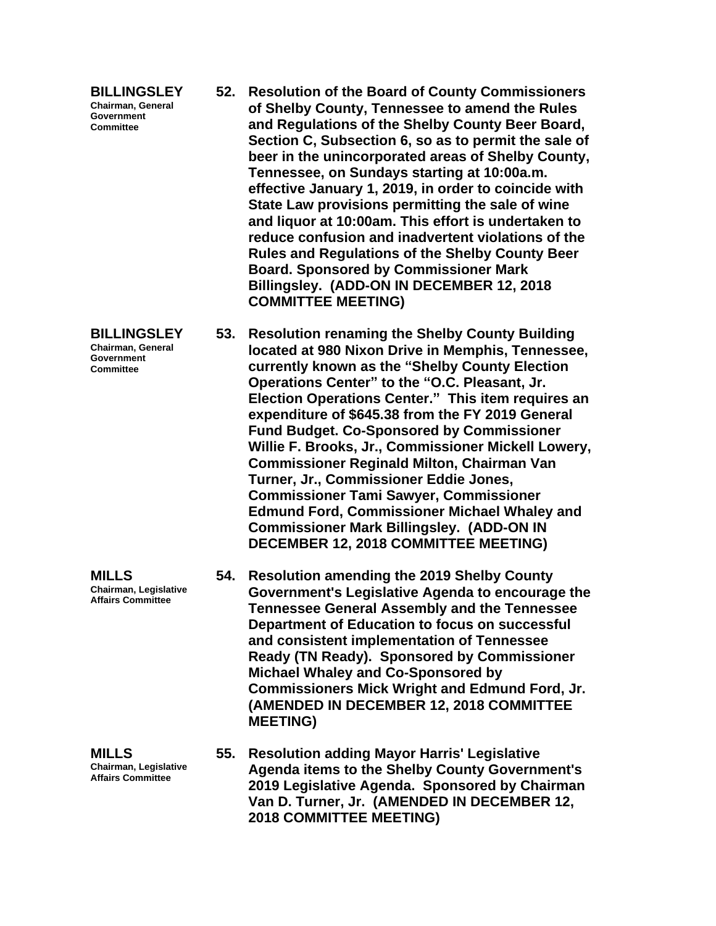| <b>BILLINGSLEY</b>       |
|--------------------------|
| <b>Chairman, General</b> |
| Government               |
| <b>Committee</b>         |

- **52. Resolution of the Board of County Commissioners of Shelby County, Tennessee to amend the Rules and Regulations of the Shelby County Beer Board, Section C, Subsection 6, so as to permit the sale of beer in the unincorporated areas of Shelby County, Tennessee, on Sundays starting at 10:00a.m. effective January 1, 2019, in order to coincide with State Law provisions permitting the sale of wine and liquor at 10:00am. This effort is undertaken to reduce confusion and inadvertent violations of the Rules and Regulations of the Shelby County Beer Board. Sponsored by Commissioner Mark Billingsley. (ADD-ON IN DECEMBER 12, 2018 COMMITTEE MEETING)**
- **BILLINGSLEY Chairman, General 53. Resolution renaming the Shelby County Building located at 980 Nixon Drive in Memphis, Tennessee, currently known as the "Shelby County Election Operations Center" to the "O.C. Pleasant, Jr. Election Operations Center." This item requires an expenditure of \$645.38 from the FY 2019 General Fund Budget. Co-Sponsored by Commissioner Willie F. Brooks, Jr., Commissioner Mickell Lowery, Commissioner Reginald Milton, Chairman Van Turner, Jr., Commissioner Eddie Jones, Commissioner Tami Sawyer, Commissioner Edmund Ford, Commissioner Michael Whaley and Commissioner Mark Billingsley. (ADD-ON IN DECEMBER 12, 2018 COMMITTEE MEETING)**
	- **54. Resolution amending the 2019 Shelby County Government's Legislative Agenda to encourage the Tennessee General Assembly and the Tennessee Department of Education to focus on successful and consistent implementation of Tennessee Ready (TN Ready). Sponsored by Commissioner Michael Whaley and Co-Sponsored by Commissioners Mick Wright and Edmund Ford, Jr. (AMENDED IN DECEMBER 12, 2018 COMMITTEE MEETING)**
	- **55. Resolution adding Mayor Harris' Legislative Agenda items to the Shelby County Government's 2019 Legislative Agenda. Sponsored by Chairman Van D. Turner, Jr. (AMENDED IN DECEMBER 12, 2018 COMMITTEE MEETING)**

**Chairman, Legislative Affairs Committee**

**MILLS**

**Government Committee**

**MILLS Chairman, Legislative Affairs Committee**